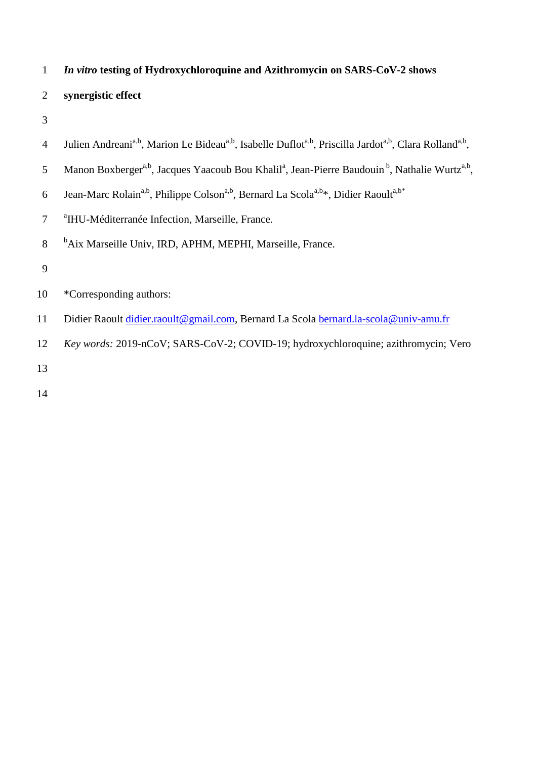### 1 *In vitro* **testing of Hydroxychloroquine and Azithromycin on SARS-CoV-2 shows**

## 2 **synergistic effect**

- 3
- 4 Julien Andreani<sup>a,b</sup>, Marion Le Bideau<sup>a,b</sup>, Isabelle Duflot<sup>a,b</sup>, Priscilla Jardot<sup>a,b</sup>, Clara Rolland<sup>a,b</sup>,
- 5 Manon Boxberger<sup>a,b</sup>, Jacques Yaacoub Bou Khalil<sup>a</sup>, Jean-Pierre Baudouin<sup>b</sup>, Nathalie Wurtz<sup>a,b</sup>,
- Jean-Marc Rolain<sup>a,b</sup>, Philippe Colson<sup>a,b</sup>, Bernard La Scola<sup>a,b\*</sup>, Didier Raoult<sup>a,b\*</sup> 6
- 7 <sup>a</sup>IHU-Méditerranée Infection, Marseille, France.
- 8 b<sub>Aix</sub> Marseille Univ, IRD, APHM, MEPHI, Marseille, France.
- 9
- 10 \*Corresponding authors:
- 11 Didier Raoult [didier.raoult@gmail.com,](mailto:didier.raoult@gmail.com) Bernard La Scola [bernard.la-scola@univ-amu.fr](mailto:bernard.la-scola@univ-amu.fr)
- 12 *Key words:* 2019-nCoV; SARS-CoV-2; COVID-19; hydroxychloroquine; azithromycin; Vero
- 13
- 14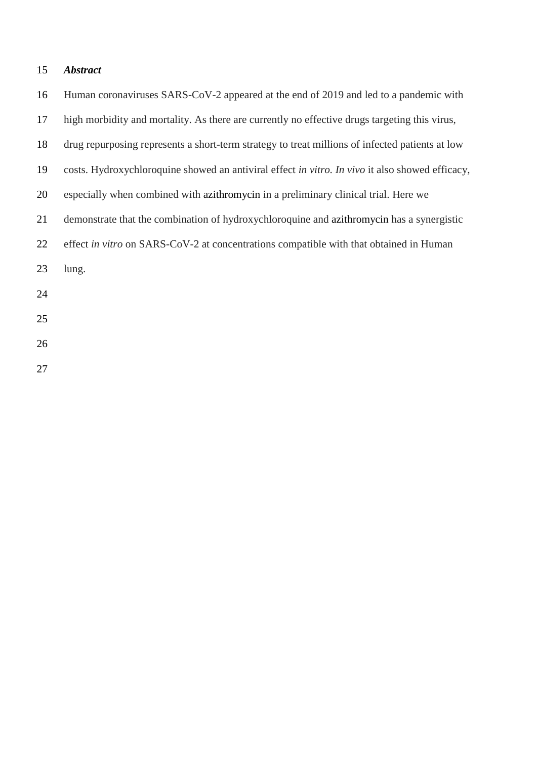# *Abstract*

| 16 | Human coronaviruses SARS-CoV-2 appeared at the end of 2019 and led to a pandemic with           |
|----|-------------------------------------------------------------------------------------------------|
| 17 | high morbidity and mortality. As there are currently no effective drugs targeting this virus,   |
| 18 | drug repurposing represents a short-term strategy to treat millions of infected patients at low |
| 19 | costs. Hydroxychloroquine showed an antiviral effect in vitro. In vivo it also showed efficacy, |
| 20 | especially when combined with azithromycin in a preliminary clinical trial. Here we             |
| 21 | demonstrate that the combination of hydroxychloroquine and azithromycin has a synergistic       |
| 22 | effect in vitro on SARS-CoV-2 at concentrations compatible with that obtained in Human          |
| 23 | lung.                                                                                           |
| 24 |                                                                                                 |
| 25 |                                                                                                 |
| 26 |                                                                                                 |
|    |                                                                                                 |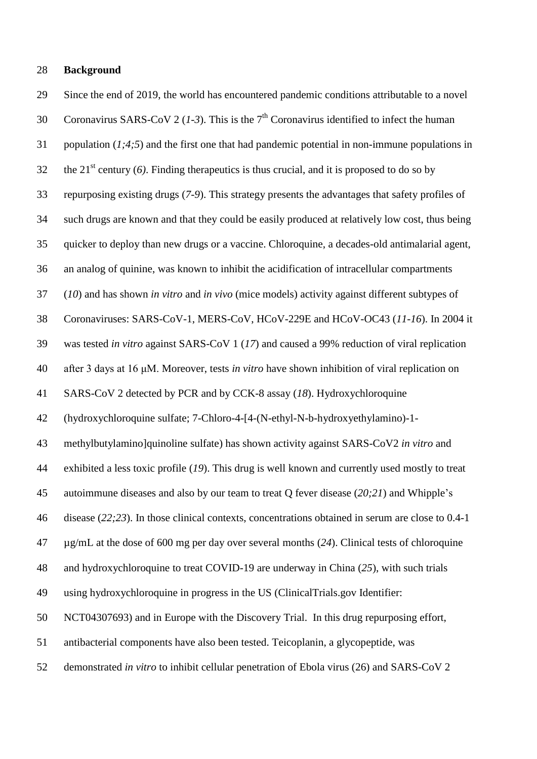#### **Background**

 Since the end of 2019, the world has encountered pandemic conditions attributable to a novel Coronavirus SARS-CoV 2 (1-3). This is the  $7<sup>th</sup>$  Coronavirus identified to infect the human population (*1;4;5*) and the first one that had pandemic potential in non-immune populations in the 21<sup>st</sup> century (6). Finding therapeutics is thus crucial, and it is proposed to do so by repurposing existing drugs (*7-9*). This strategy presents the advantages that safety profiles of such drugs are known and that they could be easily produced at relatively low cost, thus being quicker to deploy than new drugs or a vaccine. Chloroquine, a decades-old antimalarial agent, an analog of quinine, was known to inhibit the acidification of intracellular compartments (*10*) and has shown *in vitro* and *in vivo* (mice models) activity against different subtypes of Coronaviruses: SARS-CoV-1, MERS-CoV, HCoV-229E and HCoV-OC43 (*11-16*). In 2004 it was tested *in vitro* against SARS-CoV 1 (*17*) and caused a 99% reduction of viral replication after 3 days at 16 μM. Moreover, tests *in vitro* have shown inhibition of viral replication on SARS-CoV 2 detected by PCR and by CCK-8 assay (*18*). Hydroxychloroquine (hydroxychloroquine sulfate; 7-Chloro-4-[4-(N-ethyl-N-b-hydroxyethylamino)-1- methylbutylamino]quinoline sulfate) has shown activity against SARS-CoV2 *in vitro* and exhibited a less toxic profile (*19*). This drug is well known and currently used mostly to treat autoimmune diseases and also by our team to treat Q fever disease (*20;21*) and Whipple's disease (*22;23*). In those clinical contexts, concentrations obtained in serum are close to 0.4-1 µg/mL at the dose of 600 mg per day over several months (*24*). Clinical tests of chloroquine and hydroxychloroquine to treat COVID-19 are underway in China (*25*), with such trials using hydroxychloroquine in progress in the US (ClinicalTrials.gov Identifier: NCT04307693) and in Europe with the Discovery Trial. In this drug repurposing effort, antibacterial components have also been tested. Teicoplanin, a glycopeptide, was demonstrated *in vitro* to inhibit cellular penetration of Ebola virus (26) and SARS-CoV 2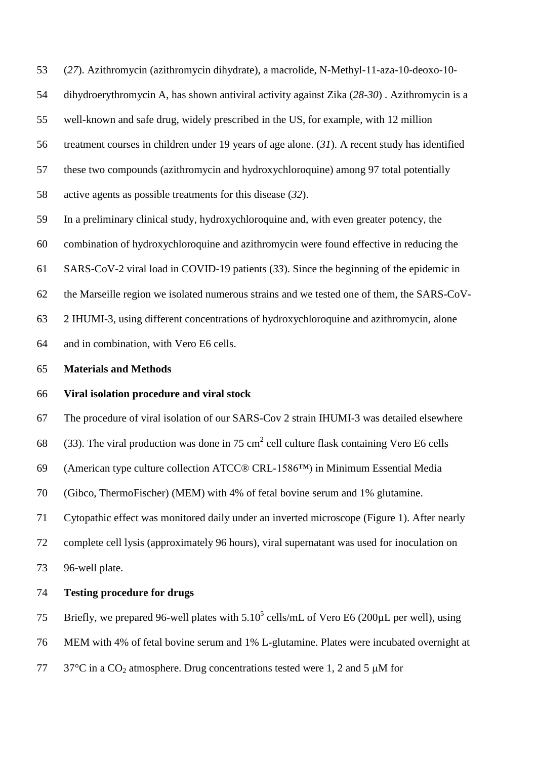(*27*). Azithromycin (azithromycin dihydrate), a macrolide, N-Methyl-11-aza-10-deoxo-10-

dihydroerythromycin A, has shown antiviral activity against Zika (*28-30*) . Azithromycin is a

well-known and safe drug, widely prescribed in the US, for example, with 12 million

treatment courses in children under 19 years of age alone. (*31*). A recent study has identified

these two compounds (azithromycin and hydroxychloroquine) among 97 total potentially

active agents as possible treatments for this disease (*32*).

In a preliminary clinical study, hydroxychloroquine and, with even greater potency, the

combination of hydroxychloroquine and azithromycin were found effective in reducing the

SARS-CoV-2 viral load in COVID-19 patients (*33*). Since the beginning of the epidemic in

the Marseille region we isolated numerous strains and we tested one of them, the SARS-CoV-

2 IHUMI-3, using different concentrations of hydroxychloroquine and azithromycin, alone

and in combination, with Vero E6 cells.

#### **Materials and Methods**

### **Viral isolation procedure and viral stock**

The procedure of viral isolation of our SARS-Cov 2 strain IHUMI-3 was detailed elsewhere

68 (33). The viral production was done in 75 cm<sup>2</sup> cell culture flask containing Vero E6 cells

(American type culture collection ATCC® CRL-1586™) in Minimum Essential Media

(Gibco, ThermoFischer) (MEM) with 4% of fetal bovine serum and 1% glutamine.

Cytopathic effect was monitored daily under an inverted microscope (Figure 1). After nearly

complete cell lysis (approximately 96 hours), viral supernatant was used for inoculation on

96-well plate.

### **Testing procedure for drugs**

75 Briefly, we prepared 96-well plates with  $5.10^5$  cells/mL of Vero E6 (200 $\mu$ L per well), using

MEM with 4% of fetal bovine serum and 1% L-glutamine. Plates were incubated overnight at

 $77\degree$  37°C in a CO<sub>2</sub> atmosphere. Drug concentrations tested were 1, 2 and 5  $\mu$ M for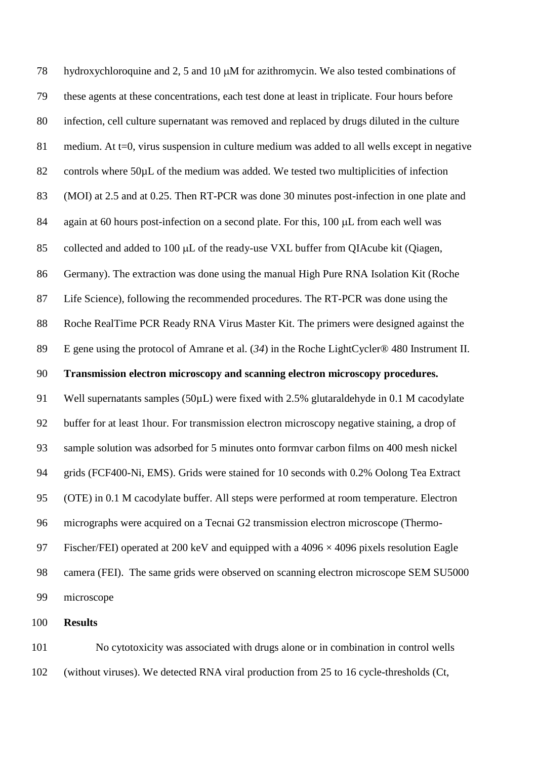78 hydroxychloroquine and 2, 5 and 10  $\mu$ M for azithromycin. We also tested combinations of these agents at these concentrations, each test done at least in triplicate. Four hours before infection, cell culture supernatant was removed and replaced by drugs diluted in the culture 81 medium. At t=0, virus suspension in culture medium was added to all wells except in negative 82 controls where 50 $\mu$ L of the medium was added. We tested two multiplicities of infection (MOI) at 2.5 and at 0.25. Then RT-PCR was done 30 minutes post-infection in one plate and 84 again at 60 hours post-infection on a second plate. For this,  $100 \mu L$  from each well was 85 collected and added to 100  $\mu$ L of the ready-use VXL buffer from QIAcube kit (Qiagen, Germany). The extraction was done using the manual High Pure RNA Isolation Kit (Roche Life Science), following the recommended procedures. The RT-PCR was done using the Roche RealTime PCR Ready RNA Virus Master Kit. The primers were designed against the E gene using the protocol of Amrane et al. (*34*) in the Roche LightCycler® 480 Instrument II. **Transmission electron microscopy and scanning electron microscopy procedures.** 91 Well supernatants samples (50µL) were fixed with 2.5% glutaraldehyde in 0.1 M cacodylate buffer for at least 1hour. For transmission electron microscopy negative staining, a drop of sample solution was adsorbed for 5 minutes onto formvar carbon films on 400 mesh nickel grids (FCF400-Ni, EMS). Grids were stained for 10 seconds with 0.2% Oolong Tea Extract (OTE) in 0.1 M cacodylate buffer. All steps were performed at room temperature. Electron micrographs were acquired on a Tecnai G2 transmission electron microscope (Thermo-97 Fischer/FEI) operated at 200 keV and equipped with a  $4096 \times 4096$  pixels resolution Eagle camera (FEI). The same grids were observed on scanning electron microscope SEM SU5000 microscope

**Results**

 No cytotoxicity was associated with drugs alone or in combination in control wells (without viruses). We detected RNA viral production from 25 to 16 cycle-thresholds (Ct,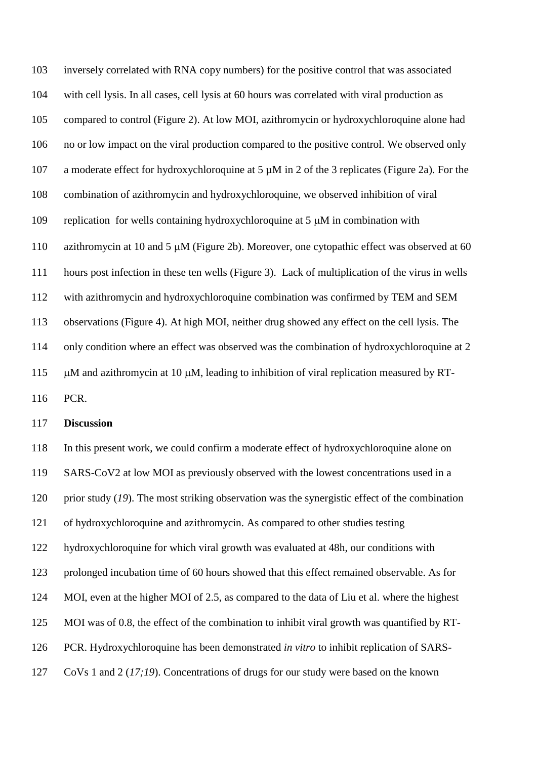inversely correlated with RNA copy numbers) for the positive control that was associated with cell lysis. In all cases, cell lysis at 60 hours was correlated with viral production as compared to control (Figure 2). At low MOI, azithromycin or hydroxychloroquine alone had no or low impact on the viral production compared to the positive control. We observed only a moderate effect for hydroxychloroquine at 5 µM in 2 of the 3 replicates (Figure 2a). For the combination of azithromycin and hydroxychloroquine, we observed inhibition of viral 109 replication for wells containing hydroxychloroquine at  $5 \mu M$  in combination with 110 azithromycin at 10 and 5  $\mu$ M (Figure 2b). Moreover, one cytopathic effect was observed at 60 hours post infection in these ten wells (Figure 3). Lack of multiplication of the virus in wells with azithromycin and hydroxychloroquine combination was confirmed by TEM and SEM observations (Figure 4). At high MOI, neither drug showed any effect on the cell lysis. The only condition where an effect was observed was the combination of hydroxychloroquine at 2  $\mu$ M and azithromycin at 10  $\mu$ M, leading to inhibition of viral replication measured by RT-

PCR.

### **Discussion**

 In this present work, we could confirm a moderate effect of hydroxychloroquine alone on SARS-CoV2 at low MOI as previously observed with the lowest concentrations used in a prior study (*19*). The most striking observation was the synergistic effect of the combination of hydroxychloroquine and azithromycin. As compared to other studies testing hydroxychloroquine for which viral growth was evaluated at 48h, our conditions with prolonged incubation time of 60 hours showed that this effect remained observable. As for MOI, even at the higher MOI of 2.5, as compared to the data of Liu et al. where the highest MOI was of 0.8, the effect of the combination to inhibit viral growth was quantified by RT- PCR. Hydroxychloroquine has been demonstrated *in vitro* to inhibit replication of SARS-CoVs 1 and 2 (*17;19*). Concentrations of drugs for our study were based on the known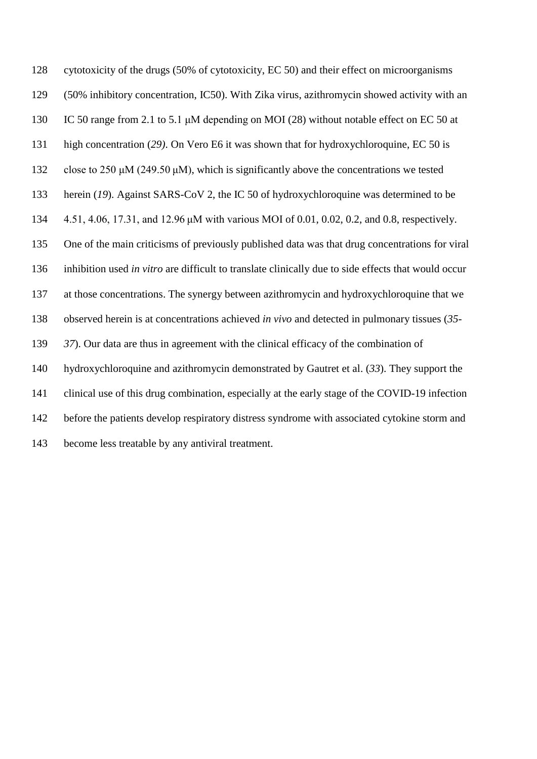cytotoxicity of the drugs (50% of cytotoxicity, EC 50) and their effect on microorganisms (50% inhibitory concentration, IC50). With Zika virus, azithromycin showed activity with an IC 50 range from 2.1 to 5.1 μM depending on MOI (28) without notable effect on EC 50 at high concentration (*29)*. On Vero E6 it was shown that for hydroxychloroquine, EC 50 is close to 250 μM (249.50 μM), which is significantly above the concentrations we tested herein (*19*). Against SARS-CoV 2, the IC 50 of hydroxychloroquine was determined to be 4.51, 4.06, 17.31, and 12.96 μM with various MOI of 0.01, 0.02, 0.2, and 0.8, respectively. One of the main criticisms of previously published data was that drug concentrations for viral inhibition used *in vitro* are difficult to translate clinically due to side effects that would occur at those concentrations. The synergy between azithromycin and hydroxychloroquine that we observed herein is at concentrations achieved *in vivo* and detected in pulmonary tissues (*35- 37*). Our data are thus in agreement with the clinical efficacy of the combination of hydroxychloroquine and azithromycin demonstrated by Gautret et al. (*33*). They support the clinical use of this drug combination, especially at the early stage of the COVID-19 infection before the patients develop respiratory distress syndrome with associated cytokine storm and become less treatable by any antiviral treatment.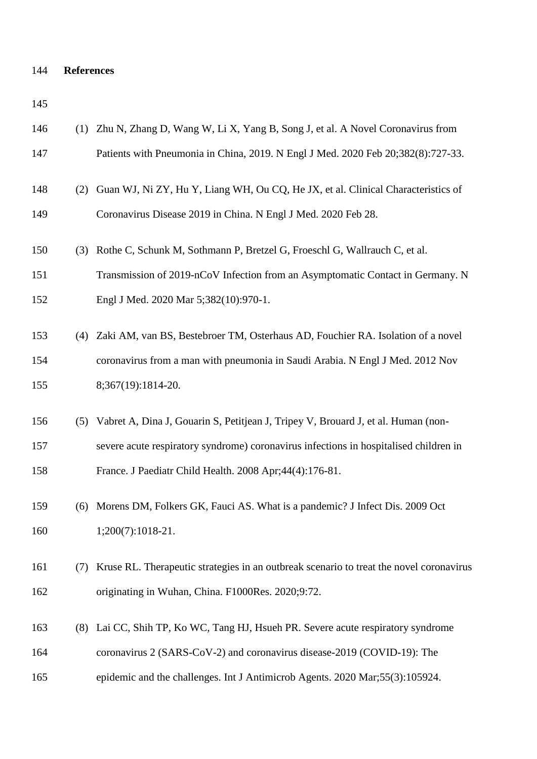## **References**

| 146 |     | (1) Zhu N, Zhang D, Wang W, Li X, Yang B, Song J, et al. A Novel Coronavirus from       |
|-----|-----|-----------------------------------------------------------------------------------------|
| 147 |     | Patients with Pneumonia in China, 2019. N Engl J Med. 2020 Feb 20;382(8):727-33.        |
| 148 | (2) | Guan WJ, Ni ZY, Hu Y, Liang WH, Ou CQ, He JX, et al. Clinical Characteristics of        |
| 149 |     | Coronavirus Disease 2019 in China. N Engl J Med. 2020 Feb 28.                           |
| 150 | (3) | Rothe C, Schunk M, Sothmann P, Bretzel G, Froeschl G, Wallrauch C, et al.               |
| 151 |     | Transmission of 2019-nCoV Infection from an Asymptomatic Contact in Germany. N          |
| 152 |     | Engl J Med. 2020 Mar 5;382(10):970-1.                                                   |
| 153 |     | (4) Zaki AM, van BS, Bestebroer TM, Osterhaus AD, Fouchier RA. Isolation of a novel     |
| 154 |     | coronavirus from a man with pneumonia in Saudi Arabia. N Engl J Med. 2012 Nov           |
| 155 |     | 8;367(19):1814-20.                                                                      |
| 156 | (5) | Vabret A, Dina J, Gouarin S, Petitjean J, Tripey V, Brouard J, et al. Human (non-       |
| 157 |     | severe acute respiratory syndrome) coronavirus infections in hospitalised children in   |
| 158 |     |                                                                                         |
|     |     | France. J Paediatr Child Health. 2008 Apr; 44(4): 176-81.                               |
| 159 | (6) | Morens DM, Folkers GK, Fauci AS. What is a pandemic? J Infect Dis. 2009 Oct             |
| 160 |     | $1;200(7):1018-21.$                                                                     |
| 161 | (7) | Kruse RL. Therapeutic strategies in an outbreak scenario to treat the novel coronavirus |
| 162 |     | originating in Wuhan, China. F1000Res. 2020;9:72.                                       |
| 163 | (8) | Lai CC, Shih TP, Ko WC, Tang HJ, Hsueh PR. Severe acute respiratory syndrome            |
| 164 |     | coronavirus 2 (SARS-CoV-2) and coronavirus disease-2019 (COVID-19): The                 |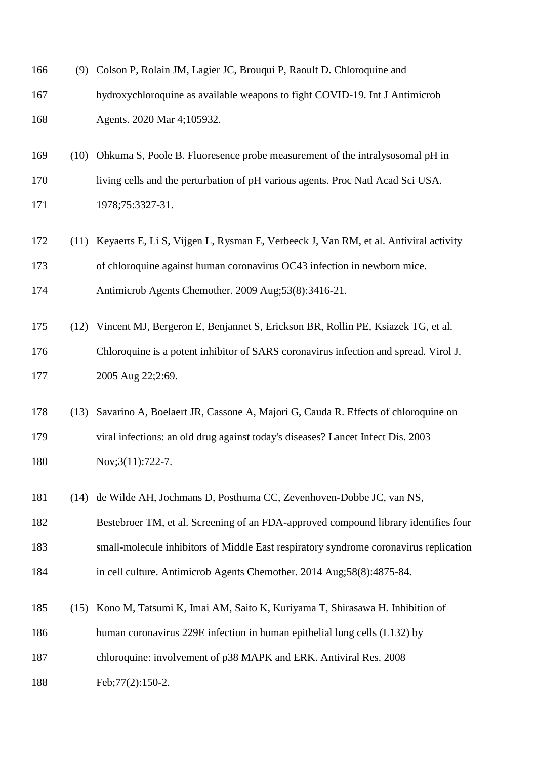| 166 |      | (9) Colson P, Rolain JM, Lagier JC, Brouqui P, Raoult D. Chloroquine and                 |
|-----|------|------------------------------------------------------------------------------------------|
| 167 |      | hydroxychloroquine as available weapons to fight COVID-19. Int J Antimicrob              |
| 168 |      | Agents. 2020 Mar 4;105932.                                                               |
| 169 | (10) | Ohkuma S, Poole B. Fluoresence probe measurement of the intralysosomal pH in             |
| 170 |      | living cells and the perturbation of pH various agents. Proc Natl Acad Sci USA.          |
| 171 |      | 1978;75:3327-31.                                                                         |
| 172 |      | (11) Keyaerts E, Li S, Vijgen L, Rysman E, Verbeeck J, Van RM, et al. Antiviral activity |
| 173 |      | of chloroquine against human coronavirus OC43 infection in newborn mice.                 |
| 174 |      | Antimicrob Agents Chemother. 2009 Aug;53(8):3416-21.                                     |
| 175 | (12) | Vincent MJ, Bergeron E, Benjannet S, Erickson BR, Rollin PE, Ksiazek TG, et al.          |
| 176 |      | Chloroquine is a potent inhibitor of SARS coronavirus infection and spread. Virol J.     |
| 177 |      | 2005 Aug 22;2:69.                                                                        |
| 178 | (13) | Savarino A, Boelaert JR, Cassone A, Majori G, Cauda R. Effects of chloroquine on         |
| 179 |      | viral infections: an old drug against today's diseases? Lancet Infect Dis. 2003          |
| 180 |      | Nov;3(11):722-7.                                                                         |
| 181 |      | (14) de Wilde AH, Jochmans D, Posthuma CC, Zevenhoven-Dobbe JC, van NS,                  |
| 182 |      | Bestebroer TM, et al. Screening of an FDA-approved compound library identifies four      |
| 183 |      | small-molecule inhibitors of Middle East respiratory syndrome coronavirus replication    |
| 184 |      | in cell culture. Antimicrob Agents Chemother. 2014 Aug; 58(8): 4875-84.                  |
| 185 | (15) | Kono M, Tatsumi K, Imai AM, Saito K, Kuriyama T, Shirasawa H. Inhibition of              |
| 186 |      | human coronavirus 229E infection in human epithelial lung cells (L132) by                |
| 187 |      | chloroquine: involvement of p38 MAPK and ERK. Antiviral Res. 2008                        |
| 188 |      | Feb; 77(2): 150-2.                                                                       |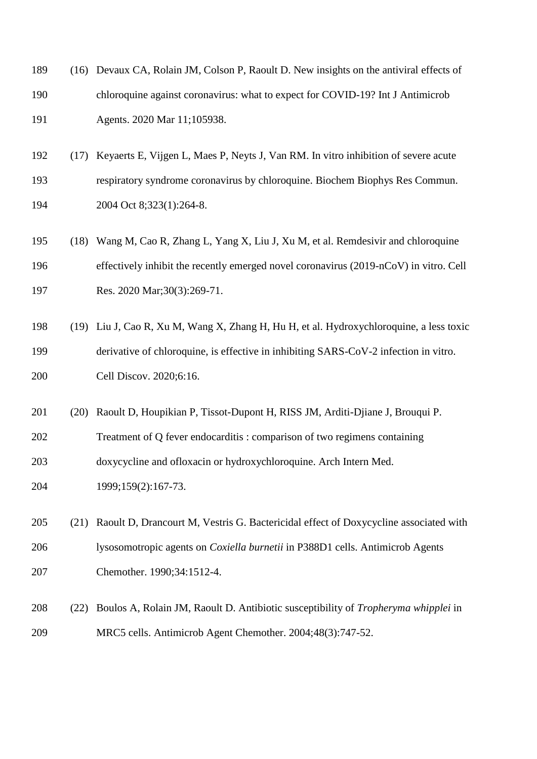| 189 |      | (16) Devaux CA, Rolain JM, Colson P, Raoult D. New insights on the antiviral effects of |
|-----|------|-----------------------------------------------------------------------------------------|
| 190 |      | chloroquine against coronavirus: what to expect for COVID-19? Int J Antimicrob          |
| 191 |      | Agents. 2020 Mar 11;105938.                                                             |
| 192 | (17) | Keyaerts E, Vijgen L, Maes P, Neyts J, Van RM. In vitro inhibition of severe acute      |
| 193 |      | respiratory syndrome coronavirus by chloroquine. Biochem Biophys Res Commun.            |
| 194 |      | 2004 Oct 8;323(1):264-8.                                                                |
| 195 | (18) | Wang M, Cao R, Zhang L, Yang X, Liu J, Xu M, et al. Remdesivir and chloroquine          |
| 196 |      | effectively inhibit the recently emerged novel coronavirus (2019-nCoV) in vitro. Cell   |
| 197 |      | Res. 2020 Mar;30(3):269-71.                                                             |
| 198 | (19) | Liu J, Cao R, Xu M, Wang X, Zhang H, Hu H, et al. Hydroxychloroquine, a less toxic      |
| 199 |      | derivative of chloroquine, is effective in inhibiting SARS-CoV-2 infection in vitro.    |
| 200 |      | Cell Discov. 2020;6:16.                                                                 |
| 201 | (20) | Raoult D, Houpikian P, Tissot-Dupont H, RISS JM, Arditi-Djiane J, Brouqui P.            |
| 202 |      | Treatment of Q fever endocarditis : comparison of two regimens containing               |
| 203 |      | doxycycline and ofloxacin or hydroxychloroquine. Arch Intern Med.                       |
| 204 |      | 1999;159(2):167-73.                                                                     |
| 205 | (21) | Raoult D, Drancourt M, Vestris G. Bactericidal effect of Doxycycline associated with    |
| 206 |      | lysosomotropic agents on Coxiella burnetii in P388D1 cells. Antimicrob Agents           |
| 207 |      | Chemother. 1990;34:1512-4.                                                              |
| 208 | (22) | Boulos A, Rolain JM, Raoult D. Antibiotic susceptibility of Tropheryma whipplei in      |
| 209 |      | MRC5 cells. Antimicrob Agent Chemother. 2004;48(3):747-52.                              |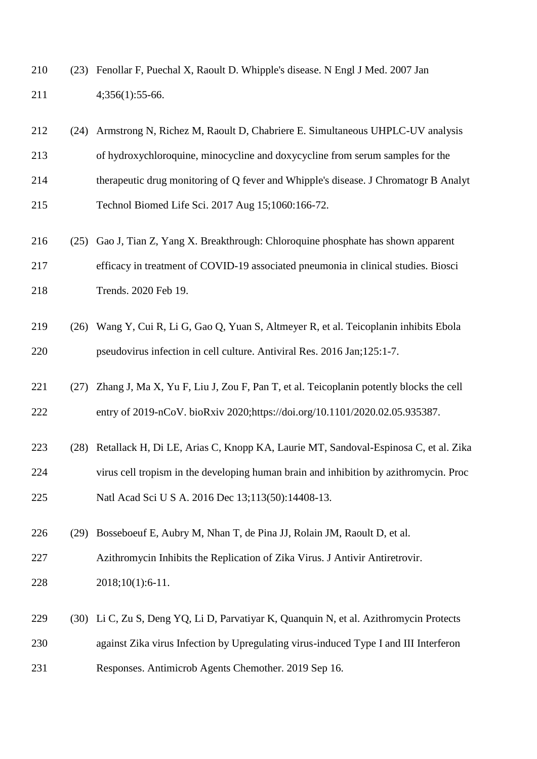(23) Fenollar F, Puechal X, Raoult D. Whipple's disease. N Engl J Med. 2007 Jan 4;356(1):55-66.

| 212<br>(24) | Armstrong N, Richez M, Raoult D, Chabriere E. Simultaneous UHPLC-UV analysis          |
|-------------|---------------------------------------------------------------------------------------|
| 213         | of hydroxychloroquine, minocycline and doxycycline from serum samples for the         |
| 214         | therapeutic drug monitoring of Q fever and Whipple's disease. J Chromatogr B Analyt   |
| 215         | Technol Biomed Life Sci. 2017 Aug 15;1060:166-72.                                     |
| 216<br>(25) | Gao J, Tian Z, Yang X. Breakthrough: Chloroquine phosphate has shown apparent         |
| 217         | efficacy in treatment of COVID-19 associated pneumonia in clinical studies. Biosci    |
| 218         | Trends. 2020 Feb 19.                                                                  |
| 219<br>(26) | Wang Y, Cui R, Li G, Gao Q, Yuan S, Altmeyer R, et al. Teicoplanin inhibits Ebola     |
| 220         | pseudovirus infection in cell culture. Antiviral Res. 2016 Jan; 125:1-7.              |
| 221<br>(27) | Zhang J, Ma X, Yu F, Liu J, Zou F, Pan T, et al. Teicoplanin potently blocks the cell |
| 222         | entry of 2019-nCoV. bioRxiv 2020;https://doi.org/10.1101/2020.02.05.935387.           |
| 223<br>(28) | Retallack H, Di LE, Arias C, Knopp KA, Laurie MT, Sandoval-Espinosa C, et al. Zika    |
| 224         | virus cell tropism in the developing human brain and inhibition by azithromycin. Proc |
| 225         | Natl Acad Sci U S A. 2016 Dec 13;113(50):14408-13.                                    |
| 226<br>(29) | Bosseboeuf E, Aubry M, Nhan T, de Pina JJ, Rolain JM, Raoult D, et al.                |
| 227         | Azithromycin Inhibits the Replication of Zika Virus. J Antivir Antiretrovir.          |
| 228         | 2018;10(1):6-11.                                                                      |
| 229<br>(30) | Li C, Zu S, Deng YQ, Li D, Parvatiyar K, Quanquin N, et al. Azithromycin Protects     |
| 230         | against Zika virus Infection by Upregulating virus-induced Type I and III Interferon  |
| 231         | Responses. Antimicrob Agents Chemother. 2019 Sep 16.                                  |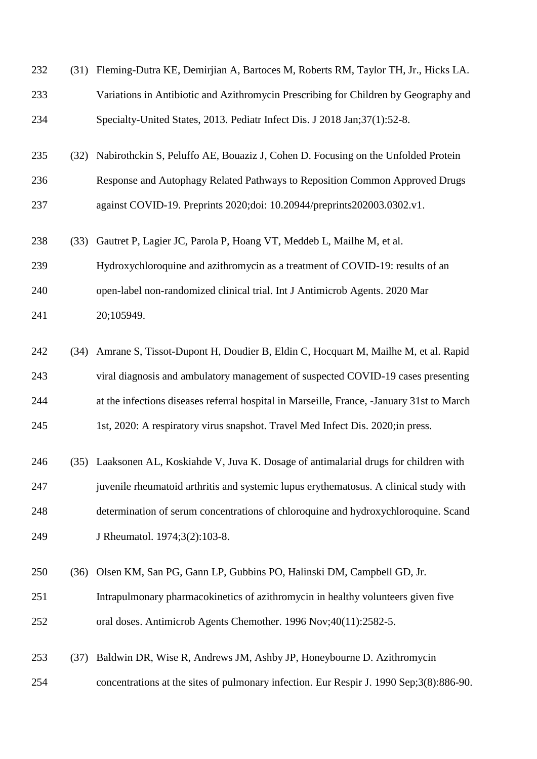| 232 | (31) | Fleming-Dutra KE, Demirjian A, Bartoces M, Roberts RM, Taylor TH, Jr., Hicks LA.          |
|-----|------|-------------------------------------------------------------------------------------------|
| 233 |      | Variations in Antibiotic and Azithromycin Prescribing for Children by Geography and       |
| 234 |      | Specialty-United States, 2013. Pediatr Infect Dis. J 2018 Jan; 37(1): 52-8.               |
| 235 | (32) | Nabirothckin S, Peluffo AE, Bouaziz J, Cohen D. Focusing on the Unfolded Protein          |
| 236 |      | Response and Autophagy Related Pathways to Reposition Common Approved Drugs               |
| 237 |      | against COVID-19. Preprints 2020;doi: 10.20944/preprints 202003.0302.v1.                  |
| 238 | (33) | Gautret P, Lagier JC, Parola P, Hoang VT, Meddeb L, Mailhe M, et al.                      |
| 239 |      | Hydroxychloroquine and azithromycin as a treatment of COVID-19: results of an             |
| 240 |      | open-label non-randomized clinical trial. Int J Antimicrob Agents. 2020 Mar               |
| 241 |      | 20;105949.                                                                                |
| 242 | (34) | Amrane S, Tissot-Dupont H, Doudier B, Eldin C, Hocquart M, Mailhe M, et al. Rapid         |
| 243 |      | viral diagnosis and ambulatory management of suspected COVID-19 cases presenting          |
| 244 |      | at the infections diseases referral hospital in Marseille, France, -January 31st to March |
| 245 |      | 1st, 2020: A respiratory virus snapshot. Travel Med Infect Dis. 2020; in press.           |
| 246 |      | (35) Laaksonen AL, Koskiahde V, Juva K. Dosage of antimalarial drugs for children with    |
| 247 |      | juvenile rheumatoid arthritis and systemic lupus erythematosus. A clinical study with     |
| 248 |      | determination of serum concentrations of chloroquine and hydroxychloroquine. Scand        |
| 249 |      | J Rheumatol. 1974;3(2):103-8.                                                             |
| 250 | (36) | Olsen KM, San PG, Gann LP, Gubbins PO, Halinski DM, Campbell GD, Jr.                      |
| 251 |      | Intrapulmonary pharmacokinetics of azithromycin in healthy volunteers given five          |
| 252 |      | oral doses. Antimicrob Agents Chemother. 1996 Nov;40(11):2582-5.                          |
| 253 | (37) | Baldwin DR, Wise R, Andrews JM, Ashby JP, Honeybourne D. Azithromycin                     |
| 254 |      | concentrations at the sites of pulmonary infection. Eur Respir J. 1990 Sep;3(8):886-90.   |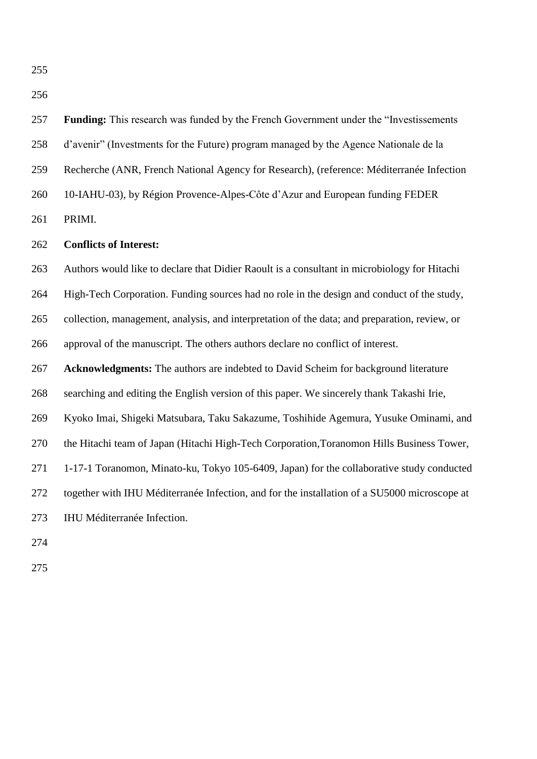

#### **Conflicts of Interest:**

 Authors would like to declare that Didier Raoult is a consultant in microbiology for Hitachi High-Tech Corporation. Funding sources had no role in the design and conduct of the study, collection, management, analysis, and interpretation of the data; and preparation, review, or approval of the manuscript. The others authors declare no conflict of interest.

**Acknowledgments:** The authors are indebted to David Scheim for background literature

searching and editing the English version of this paper. We sincerely thank Takashi Irie,

Kyoko Imai, Shigeki Matsubara, Taku Sakazume, Toshihide Agemura, Yusuke Ominami, and

the Hitachi team of Japan (Hitachi High-Tech Corporation,Toranomon Hills Business Tower,

1-17-1 Toranomon, Minato-ku, Tokyo 105-6409, Japan) for the collaborative study conducted

together with IHU Méditerranée Infection, and for the installation of a SU5000 microscope at

IHU Méditerranée Infection.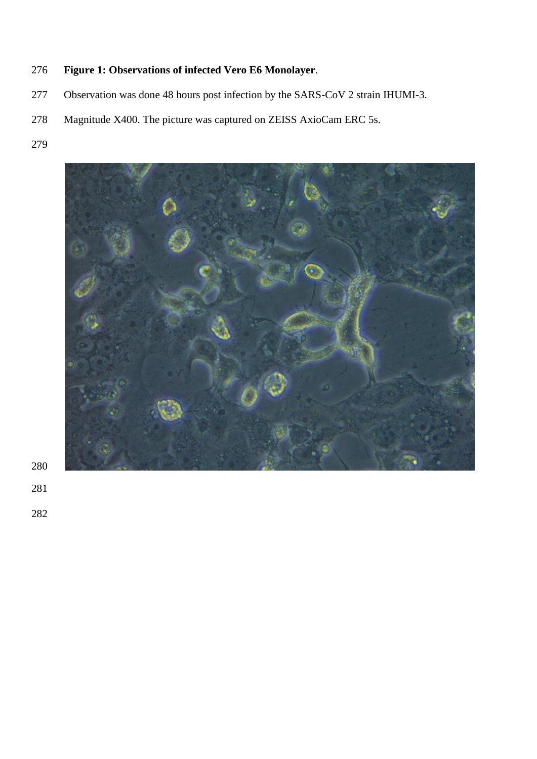# **Figure 1: Observations of infected Vero E6 Monolayer**.

- Observation was done 48 hours post infection by the SARS-CoV 2 strain IHUMI-3.
- Magnitude X400. The picture was captured on ZEISS AxioCam ERC 5s.
- 

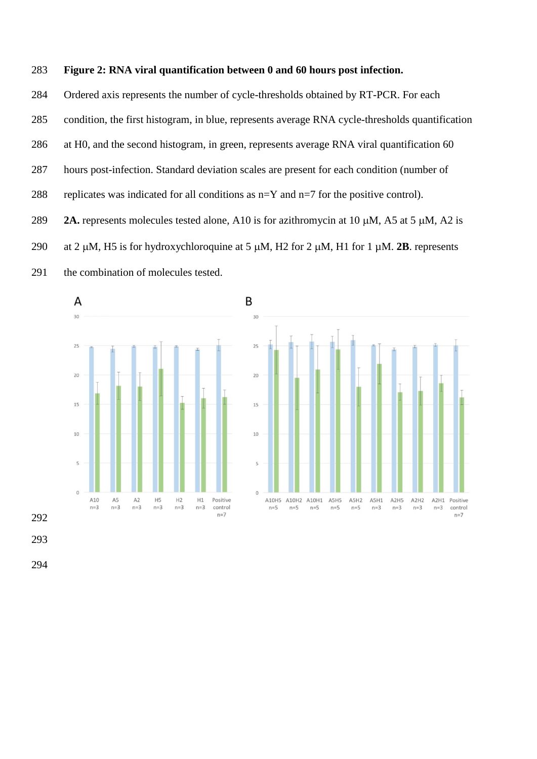#### **Figure 2: RNA viral quantification between 0 and 60 hours post infection.**

 Ordered axis represents the number of cycle-thresholds obtained by RT-PCR. For each condition, the first histogram, in blue, represents average RNA cycle-thresholds quantification at H0, and the second histogram, in green, represents average RNA viral quantification 60 hours post-infection. Standard deviation scales are present for each condition (number of 288 replicates was indicated for all conditions as  $n=Y$  and  $n=7$  for the positive control). **2A.** represents molecules tested alone, A10 is for azithromycin at 10  $\mu$ M, A5 at 5  $\mu$ M, A2 is 290 at 2  $\mu$ M, H<sub>2</sub> is for hydroxychloroquine at 5  $\mu$ M, H<sub>2</sub> for 2  $\mu$ M, H<sub>1</sub> for 1  $\mu$ M. **2B**. represents the combination of molecules tested.

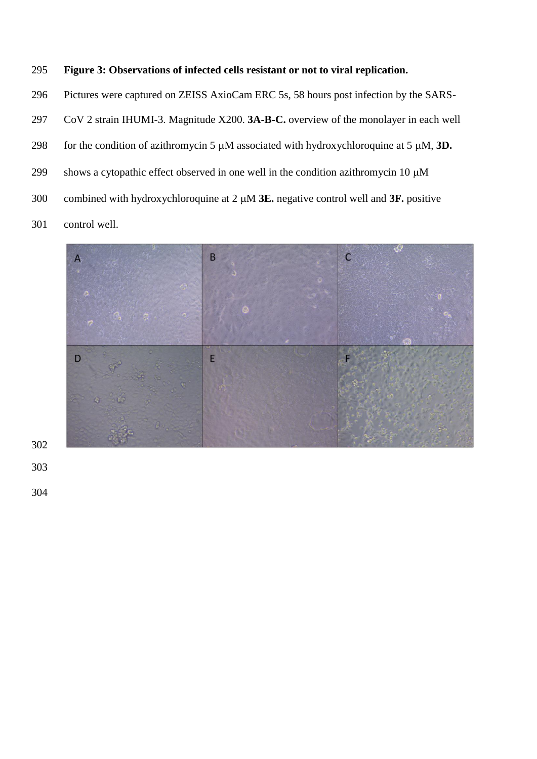### **Figure 3: Observations of infected cells resistant or not to viral replication.**

Pictures were captured on ZEISS AxioCam ERC 5s, 58 hours post infection by the SARS-

CoV 2 strain IHUMI-3. Magnitude X200. **3A-B-C.** overview of the monolayer in each well

298 for the condition of azithromycin 5  $\mu$ M associated with hydroxychloroquine at 5  $\mu$ M, 3D.

299 shows a cytopathic effect observed in one well in the condition azithromycin 10  $\mu$ M

300 combined with hydroxychloroquine at 2  $\mu$ M **3E.** negative control well and **3F.** positive

control well.